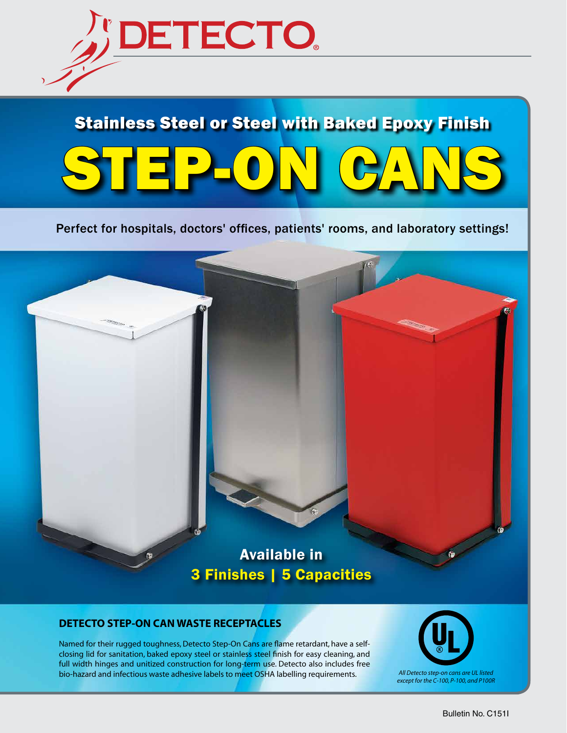

# STEP-ON CANS Stainless Steel or Steel with Baked Epoxy Finish

#### Perfect for hospitals, doctors' offices, patients' rooms, and laboratory settings!

# Available in 3 Finishes | 5 Capacities

#### **DETECTO STEP-ON CAN WASTE RECEPTACLES**

Named for their rugged toughness, Detecto Step-On Cans are flame retardant, have a selfclosing lid for sanitation, baked epoxy steel or stainless steel finish for easy cleaning, and full width hinges and unitized construction for long-term use. Detecto also includes free bio-hazard and infectious waste adhesive labels to meet OSHA labelling requirements. *All Detecto step-on cans are UL listed* 



*except for the C-100, P-100, and P100R*